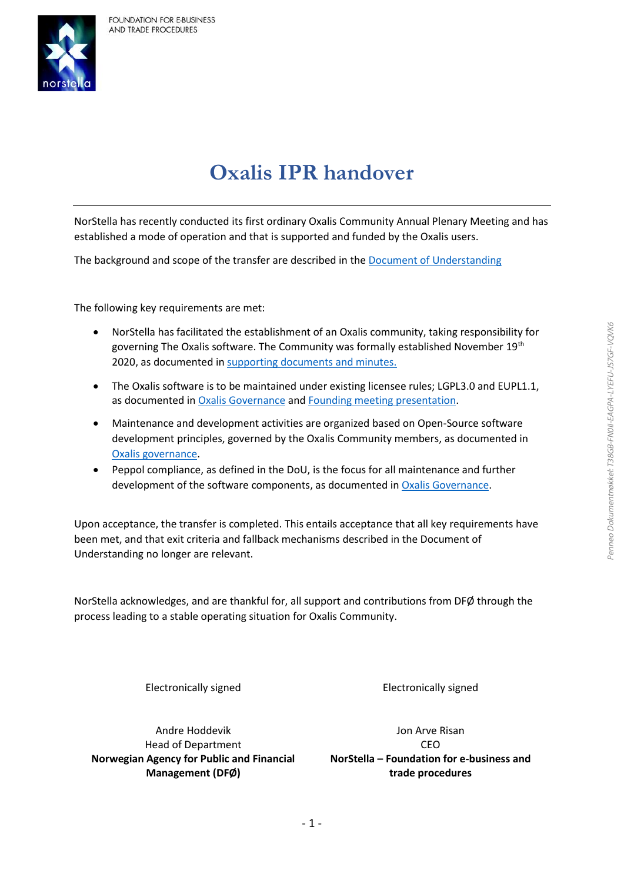

## **Oxalis IPR handover**

NorStella has recently conducted its first ordinary Oxalis Community Annual Plenary Meeting and has established a mode of operation and that is supported and funded by the Oxalis users.

The background and scope of the transfer are described in th[e Document of Understanding](https://54e26da9-fbf2-465a-b113-519dff24ebfc.filesusr.com/ugd/7dc7ee_88cc4183552548d68e8bde2090d5b097.pdf) 

The following key requirements are met:

- NorStella has facilitated the establishment of an Oxalis community, taking responsibility for governing The Oxalis software. The Community was formally established November 19<sup>th</sup> 2020, as documented i[n supporting documents and minutes.](https://www.oxalis.network/founding-meeting)
- The Oxalis software is to be maintained under existing licensee rules; LGPL3.0 and EUPL1.1, as documented in [Oxalis Governance a](https://54e26da9-fbf2-465a-b113-519dff24ebfc.filesusr.com/ugd/7dc7ee_927a539a3df0449fafb9ff6206900516.pdf)nd [Founding meeting presentation.](https://54e26da9-fbf2-465a-b113-519dff24ebfc.filesusr.com/ugd/7dc7ee_cf2d4bcc3cb4484485c861a1ada5f614.pdf)
- Maintenance and development activities are organized based on Open-Source software development principles, governed by the Oxalis Community members, as documented in [Oxalis governance.](https://54e26da9-fbf2-465a-b113-519dff24ebfc.filesusr.com/ugd/7dc7ee_927a539a3df0449fafb9ff6206900516.pdf)
- Peppol compliance, as defined in the DoU, is the focus for all maintenance and further development of the software components, as documented in [Oxalis Governance.](https://54e26da9-fbf2-465a-b113-519dff24ebfc.filesusr.com/ugd/7dc7ee_927a539a3df0449fafb9ff6206900516.pdf)

Upon acceptance, the transfer is completed. This entails acceptance that all key requirements have been met, and that exit criteria and fallback mechanisms described in the Document of Understanding no longer are relevant.

NorStella acknowledges, and are thankful for, all support and contributions from DFØ through the process leading to a stable operating situation for Oxalis Community.

Electronically signed Electronically signed

Andre Hoddevik Head of Department **Norwegian Agency for Public and Financial Management (DFØ)**

Jon Arve Risan CEO **NorStella – Foundation for e-business and trade procedures**